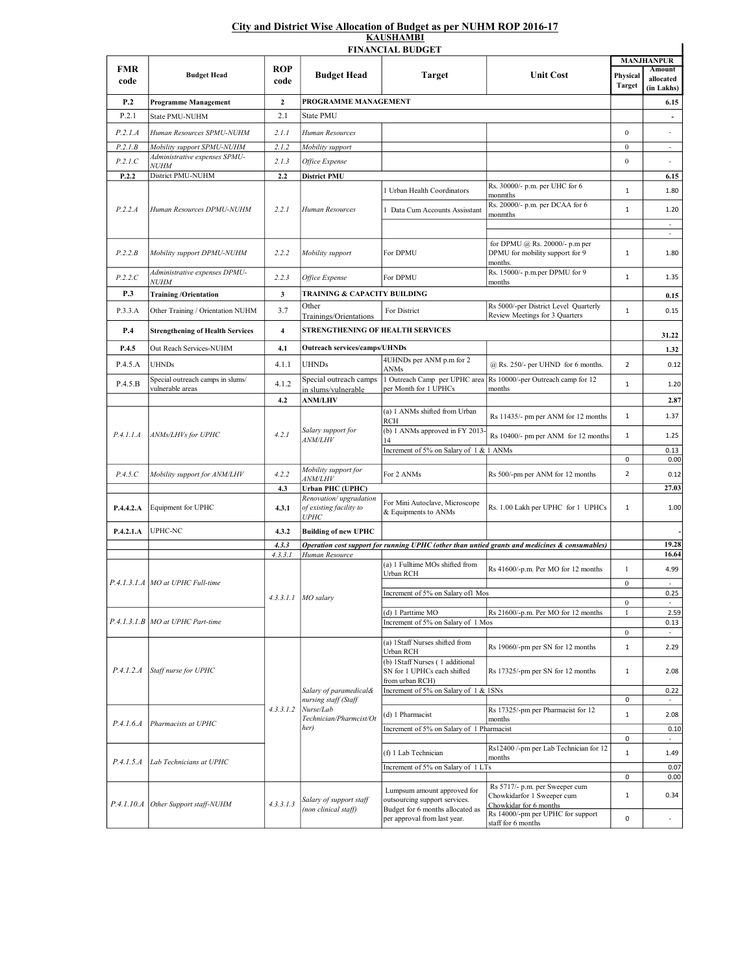## City and District Wise Allocation of Budget as per NUHM ROP 2016-17 **KAUSHAMBI**

|                    |                                                                        |                    |                                                                                                | <b>FINANCIAL BUDGET</b>                                                                          |                                                                                                | <b>MANJHANPUR</b>         |                                   |
|--------------------|------------------------------------------------------------------------|--------------------|------------------------------------------------------------------------------------------------|--------------------------------------------------------------------------------------------------|------------------------------------------------------------------------------------------------|---------------------------|-----------------------------------|
| <b>FMR</b><br>code | <b>Budget Head</b>                                                     | <b>ROP</b><br>code | <b>Budget Head</b>                                                                             | <b>Target</b>                                                                                    | <b>Unit Cost</b>                                                                               | Physical<br><b>Target</b> | Amount<br>allocated<br>(in Lakhs) |
| P.2                | <b>Programme Management</b>                                            | $\mathbf{2}$       | PROGRAMME MANAGEMENT                                                                           |                                                                                                  |                                                                                                |                           | 6.15                              |
| P.2.1              | State PMU-NUHM                                                         | 2.1                | State PMU                                                                                      |                                                                                                  |                                                                                                |                           |                                   |
| P.2.1.A            | Human Resources SPMU-NUHM                                              | 2.1.1              | Human Resources                                                                                |                                                                                                  |                                                                                                | $\mathbf{0}$              |                                   |
| P.2.1B             | Mobility support SPMU-NUHM                                             | 2.1.2              | Mobility support                                                                               |                                                                                                  |                                                                                                | $\mathbf{0}$              | ٠                                 |
| P.2.1.C            | Administrative expenses SPMU-<br><b>NUHM</b>                           | 2.1.3              | Office Expense                                                                                 |                                                                                                  |                                                                                                | $\mathbf{0}$              |                                   |
| P.2.2              | District PMU-NUHM                                                      | 2.2                | District PMU                                                                                   |                                                                                                  |                                                                                                |                           | 6.15                              |
| P.2.2.A            | Human Resources DPMU-NUHM                                              | 2.2.1              | Human Resources                                                                                | 1 Urban Health Coordinators                                                                      | Rs. 30000/- p.m. per UHC for 6<br>monmths                                                      | $\mathbf{1}$              | 1.80                              |
|                    |                                                                        |                    |                                                                                                | 1 Data Cum Accounts Assisstant                                                                   | Rs. 20000/- p.m. per DCAA for 6<br>monmths                                                     | $\mathbf{1}$              | 1.20<br>$\overline{\phantom{a}}$  |
|                    |                                                                        |                    |                                                                                                |                                                                                                  |                                                                                                |                           | ×.                                |
| P.2.2.B            | Mobility support DPMU-NUHM                                             | 2.2.2              | Mobility support                                                                               | For DPMU                                                                                         | for DPMU @ Rs. 20000/- p.m per<br>DPMU for mobility support for 9<br>months.                   | $\mathbf{1}$              | 1.80                              |
| P.2.2.C            | Administrative expenses DPMU-<br><b>NUHM</b>                           | 2.2.3              | Office Expense                                                                                 | For DPMU                                                                                         | Rs. 15000/- p.m.per DPMU for 9<br>months                                                       | $\mathbf{1}$              | 1.35                              |
| P.3                | <b>Training/Orientation</b>                                            | 3                  | TRAINING & CAPACITY BUILDING                                                                   |                                                                                                  |                                                                                                |                           | 0.15                              |
| P.3.3.A            | Other Training / Orientation NUHM                                      | 3.7                | Other<br>Trainings/Orientations                                                                | For District                                                                                     | Rs 5000/-per District Level Quarterly<br>Review Meetings for 3 Quarters                        | $\mathbf{1}$              | 0.15                              |
| P.4                | <b>Strengthening of Health Services</b>                                | 4                  | STRENGTHENING OF HEALTH SERVICES                                                               |                                                                                                  |                                                                                                |                           |                                   |
| P.4.5              | Out Reach Services-NUHM                                                | 4.1                | <b>Outreach services/camps/UHNDs</b>                                                           |                                                                                                  |                                                                                                |                           | 31.22                             |
|                    |                                                                        |                    |                                                                                                | 4UHNDs per ANM p.m for 2                                                                         |                                                                                                |                           | 1.32                              |
| P.4.5.A            | <b>UHNDs</b>                                                           | 4.1.1              | <b>UHNDs</b>                                                                                   | ANMs                                                                                             | $@$ Rs. 250/- per UHND for 6 months.                                                           | $\overline{2}$            | 0.12                              |
| P.4.5.B            | Special outreach camps in slums/<br>vulnerable areas                   | 4.1.2              | Special outreach camps<br>in slums/vulnerable                                                  | 1 Outreach Camp per UPHC area<br>per Month for 1 UPHCs                                           | Rs 10000/-per Outreach camp for 12<br>months                                                   | $\mathbf{1}$              | 1.20                              |
|                    |                                                                        | 4.2                | <b>ANM/LHV</b>                                                                                 |                                                                                                  |                                                                                                |                           | 2.87                              |
| P.4.1.1.A          | ANMs/LHVs for UPHC                                                     | 4.2.1              | Salary support for<br><i>ANM/LHV</i>                                                           | (a) 1 ANMs shifted from Urban<br><b>RCH</b>                                                      | Rs 11435/- pm per ANM for 12 months                                                            | $\mathbf{1}$              | 1.37                              |
|                    |                                                                        |                    |                                                                                                | (b) 1 ANMs approved in FY 2013-                                                                  | Rs 10400/- pm per ANM for 12 months                                                            | $\mathbf{1}$              | 1.25                              |
|                    |                                                                        |                    |                                                                                                | Increment of 5% on Salary of 1 & 1 ANMs                                                          |                                                                                                |                           | 0.13                              |
|                    |                                                                        |                    | Mobility support for                                                                           |                                                                                                  |                                                                                                | 0                         | 0.00                              |
| P.4.5.C            | Mobility support for ANM/LHV                                           | 4.2.2              | <i>ANM/LHV</i>                                                                                 | For 2 ANMs                                                                                       | Rs 500/-pm per ANM for 12 months                                                               | $\overline{2}$            | 0.12                              |
|                    |                                                                        | 4.3                | <b>Urban PHC (UPHC)</b><br>Renovation/upgradation                                              |                                                                                                  |                                                                                                |                           | 27.03                             |
| P.4.4.2.A          | Equipment for UPHC                                                     | 4.3.1              | of existing facility to<br><b>UPHC</b>                                                         | For Mini Autoclave, Microscope<br>& Equipments to ANMs                                           | Rs. 1.00 Lakh per UPHC for 1 UPHCs                                                             | $\mathbf{1}$              | 1.00                              |
| P.4.2.1.A          | UPHC-NC                                                                | 4.3.2              | <b>Building of new UPHC</b>                                                                    |                                                                                                  |                                                                                                |                           |                                   |
|                    |                                                                        | 4.3.3              |                                                                                                |                                                                                                  | Operation cost support for running UPHC (other than untied grants and medicines & consumables) |                           | 19.28                             |
|                    | P.4.1.3.1.A   MO at UPHC Full-time<br>P.4.1.3.1.B MO at UPHC Part-time | 4.3.3.1            | Human Resource<br>$4.3.3.1.1$ MO salary                                                        | (a) 1 Fulltime MOs shifted from                                                                  |                                                                                                |                           | 16.64                             |
|                    |                                                                        |                    |                                                                                                | Urban RCH                                                                                        | Rs 41600/-p.m. Per MO for 12 months                                                            | $\mathbf{1}$              | 4.99                              |
|                    |                                                                        |                    |                                                                                                | Increment of 5% on Salary of1 Mos                                                                |                                                                                                | $\mathbf{0}$              | $\overline{\phantom{a}}$<br>0.25  |
|                    |                                                                        |                    |                                                                                                |                                                                                                  |                                                                                                | $\bf{0}$                  | ÷                                 |
|                    |                                                                        |                    |                                                                                                | (d) 1 Parttime MO                                                                                | Rs 21600/-p.m. Per MO for 12 months                                                            | $\mathbf{1}$              | 2.59                              |
|                    |                                                                        |                    |                                                                                                | Increment of 5% on Salary of 1 Mos                                                               |                                                                                                | $\mathbf{0}$              | 0.13<br>$\overline{\phantom{a}}$  |
| P.4.1.2.4          | Staff nurse for UPHC                                                   | 4.3.3.1.2          | Salary of paramedical&<br>nursing staff (Staff<br>Nurse/Lab<br>Technician/Pharmcist/Ot<br>her) | (a) 1Staff Nurses shifted from<br>Urban RCH                                                      | Rs 19060/-pm per SN for 12 months                                                              | $\mathbf{1}$              | 2.29                              |
|                    |                                                                        |                    |                                                                                                | (b) 1Staff Nurses (1 additional<br>SN for 1 UPHCs each shifted<br>from urban RCH)                | Rs 17325/-pm per SN for 12 months                                                              | $\mathbf{1}$              | 2.08                              |
|                    |                                                                        |                    |                                                                                                | Increment of 5% on Salary of 1 & 1SNs                                                            |                                                                                                |                           | 0.22                              |
|                    |                                                                        |                    |                                                                                                |                                                                                                  |                                                                                                | 0                         |                                   |
| P.4.1.6.4          | Pharmacists at UPHC                                                    |                    |                                                                                                | (d) 1 Pharmacist                                                                                 | Rs 17325/-pm per Pharmacist for 12<br>months                                                   | $\mathbf{1}$              | 2.08                              |
|                    |                                                                        |                    |                                                                                                | Increment of 5% on Salary of 1 Pharmacist                                                        |                                                                                                | 0                         | 0.10<br>$\overline{\phantom{a}}$  |
| P.4.1.5.4          | Lab Technicians at UPHC                                                |                    |                                                                                                | (f) 1 Lab Technician                                                                             | Rs12400 /-pm per Lab Technician for 12                                                         | $\mathbf{1}$              | 1.49                              |
|                    |                                                                        |                    |                                                                                                | Increment of 5% on Salary of 1 LTs                                                               | months                                                                                         |                           | 0.07                              |
|                    |                                                                        |                    |                                                                                                |                                                                                                  |                                                                                                | 0                         | 0.00                              |
| P.4.1.10.A         | Other Support staff-NUHM                                               | 4.3.3.1.3          | Salary of support staff<br>(non clinical staff)                                                | Lumpsum amount approved for<br>outsourcing support services.<br>Budget for 6 months allocated as | Rs 5717/- p.m. per Sweeper cum<br>Chowkidarfor 1 Sweeper cum<br>Chowkidar for 6 months         | $\mathbf{1}$              | 0.34                              |
|                    |                                                                        |                    |                                                                                                | per approval from last year.                                                                     | Rs 14000/-pm per UPHC for support<br>staff for 6 months                                        | 0                         | ä,                                |